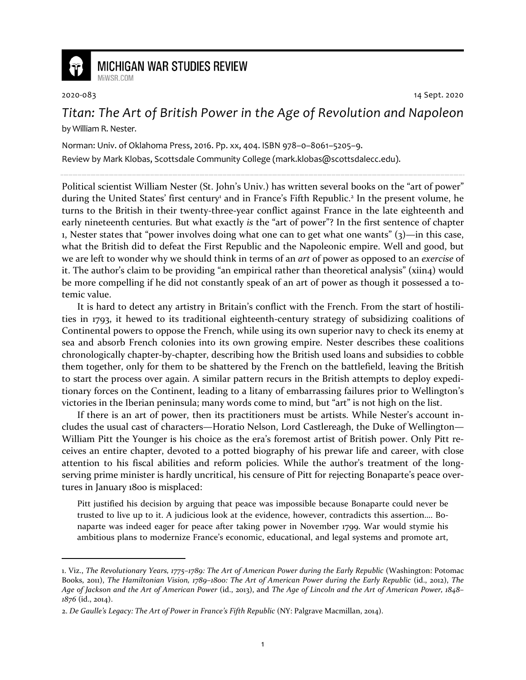

## **MICHIGAN WAR STUDIES REVIEW** MiWSR COM

2020-083 14 Sept. 2020

## *Titan: The Art of British Power in the Age of Revolution and Napoleon* by William R. Nester.

Norman: Univ. of Oklahoma Press, 2016. Pp. xx, 404. ISBN 978–0–8061–5205–9. Review by Mark Klobas, Scottsdale Community College (mark.klobas@scottsdalecc.edu).

Political scientist William Nester (St. John's Univ.) has written several books on the "art of power" during the United States' first century<sup>1</sup> and in France's Fifth Republic.<sup>2</sup> In the present volume, he turns to the British in their twenty-three-year conflict against France in the late eighteenth and early nineteenth centuries. But what exactly *is* the "art of power"? In the first sentence of chapter 1, Nester states that "power involves doing what one can to get what one wants"  $(3)$ —in this case, what the British did to defeat the First Republic and the Napoleonic empire. Well and good, but we are left to wonder why we should think in terms of an *art* of power as opposed to an *exercise* of it. The author's claim to be providing "an empirical rather than theoretical analysis" (xiin4) would be more compelling if he did not constantly speak of an art of power as though it possessed a totemic value.

It is hard to detect any artistry in Britain's conflict with the French. From the start of hostilities in 1793, it hewed to its traditional eighteenth-century strategy of subsidizing coalitions of Continental powers to oppose the French, while using its own superior navy to check its enemy at sea and absorb French colonies into its own growing empire. Nester describes these coalitions chronologically chapter-by-chapter, describing how the British used loans and subsidies to cobble them together, only for them to be shattered by the French on the battlefield, leaving the British to start the process over again. A similar pattern recurs in the British attempts to deploy expeditionary forces on the Continent, leading to a litany of embarrassing failures prior to Wellington's victories in the Iberian peninsula; many words come to mind, but "art" is not high on the list.

If there is an art of power, then its practitioners must be artists. While Nester's account includes the usual cast of characters—Horatio Nelson, Lord Castlereagh, the Duke of Wellington— William Pitt the Younger is his choice as the era's foremost artist of British power. Only Pitt receives an entire chapter, devoted to a potted biography of his prewar life and career, with close attention to his fiscal abilities and reform policies. While the author's treatment of the longserving prime minister is hardly uncritical, his censure of Pitt for rejecting Bonaparte's peace overtures in January 1800 is misplaced:

Pitt justified his decision by arguing that peace was impossible because Bonaparte could never be trusted to live up to it. A judicious look at the evidence, however, contradicts this assertion…. Bonaparte was indeed eager for peace after taking power in November 1799. War would stymie his ambitious plans to modernize France's economic, educational, and legal systems and promote art,

<sup>1.</sup> Viz., *The Revolutionary Years, 1775–1789: The Art of American Power during the Early Republic* (Washington: Potomac Books, 2011), *The Hamiltonian Vision, 1789–1800: The Art of American Power during the Early Republic* (id., 2012), *The Age of Jackson and the Art of American Power* (id., 2013), and *The Age of Lincoln and the Art of American Power, 1848– 1876* (id., 2014).

<sup>2.</sup> *De Gaulle's Legacy: The Art of Power in France's Fifth Republic* (NY: Palgrave Macmillan, 2014).